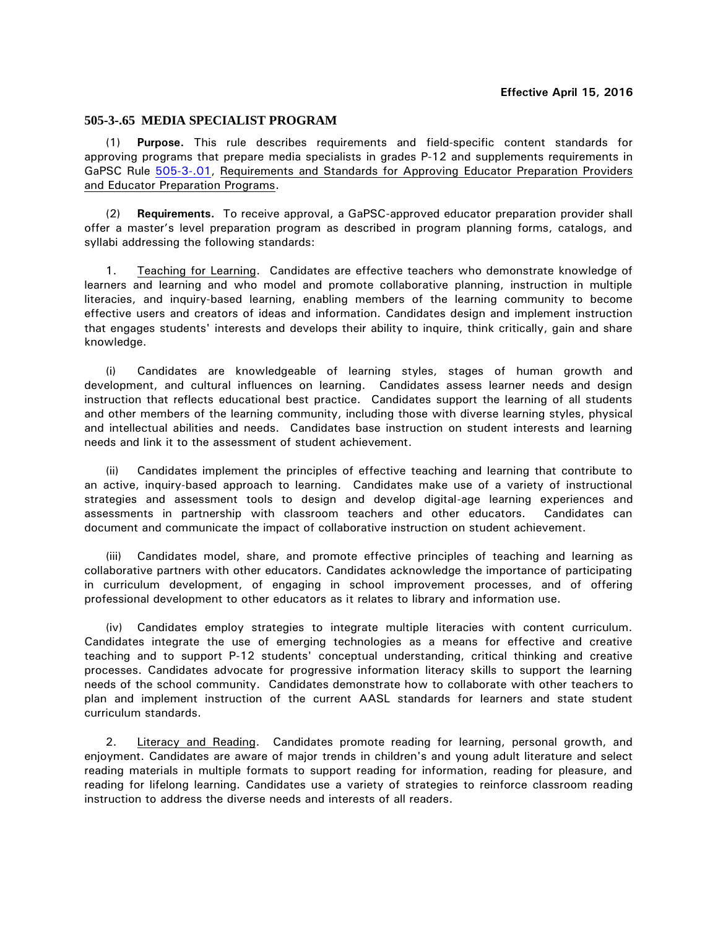## **505-3-.65 MEDIA SPECIALIST PROGRAM**

(1) **Purpose.** This rule describes requirements and field-specific content standards for approving programs that prepare media specialists in grades P-12 and supplements requirements in GaPSC Rule [505-3-.01,](file://///KA/Everyone/WP/TEACHED/505.3.XX%20Rules/2010%20%20Ed%20Prep%20Rule%20Changes/K5%20Math%20End/505-3-.01.pdf) Requirements and Standards for Approving Educator Preparation Providers and Educator Preparation Programs.

(2) **Requirements.** To receive approval, a GaPSC-approved educator preparation provider shall offer a master's level preparation program as described in program planning forms, catalogs, and syllabi addressing the following standards:

1. Teaching for Learning. Candidates are effective teachers who demonstrate knowledge of learners and learning and who model and promote collaborative planning, instruction in multiple literacies, and inquiry-based learning, enabling members of the learning community to become effective users and creators of ideas and information. Candidates design and implement instruction that engages students' interests and develops their ability to inquire, think critically, gain and share knowledge.

(i) Candidates are knowledgeable of learning styles, stages of human growth and development, and cultural influences on learning. Candidates assess learner needs and design instruction that reflects educational best practice. Candidates support the learning of all students and other members of the learning community, including those with diverse learning styles, physical and intellectual abilities and needs. Candidates base instruction on student interests and learning needs and link it to the assessment of student achievement.

(ii) Candidates implement the principles of effective teaching and learning that contribute to an active, inquiry-based approach to learning. Candidates make use of a variety of instructional strategies and assessment tools to design and develop digital-age learning experiences and assessments in partnership with classroom teachers and other educators. Candidates can document and communicate the impact of collaborative instruction on student achievement.

(iii) Candidates model, share, and promote effective principles of teaching and learning as collaborative partners with other educators. Candidates acknowledge the importance of participating in curriculum development, of engaging in school improvement processes, and of offering professional development to other educators as it relates to library and information use.

(iv) Candidates employ strategies to integrate multiple literacies with content curriculum. Candidates integrate the use of emerging technologies as a means for effective and creative teaching and to support P-12 students' conceptual understanding, critical thinking and creative processes. Candidates advocate for progressive information literacy skills to support the learning needs of the school community. Candidates demonstrate how to collaborate with other teachers to plan and implement instruction of the current AASL standards for learners and state student curriculum standards.

2. Literacy and Reading. Candidates promote reading for learning, personal growth, and enjoyment. Candidates are aware of major trends in children's and young adult literature and select reading materials in multiple formats to support reading for information, reading for pleasure, and reading for lifelong learning. Candidates use a variety of strategies to reinforce classroom reading instruction to address the diverse needs and interests of all readers.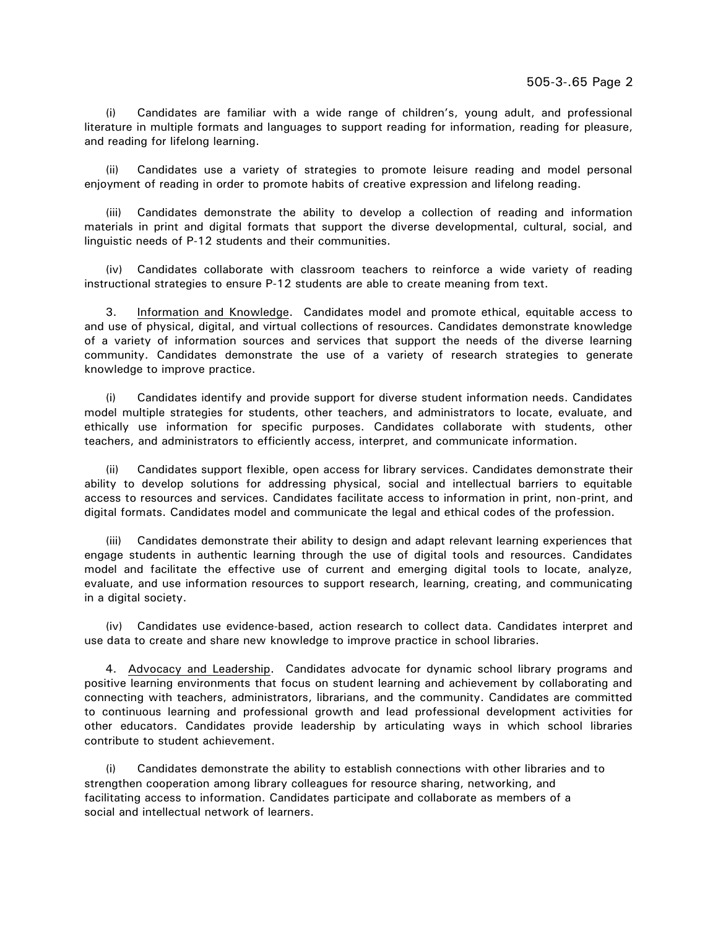(i) Candidates are familiar with a wide range of children's, young adult, and professional literature in multiple formats and languages to support reading for information, reading for pleasure, and reading for lifelong learning.

Candidates use a variety of strategies to promote leisure reading and model personal enjoyment of reading in order to promote habits of creative expression and lifelong reading.

(iii) Candidates demonstrate the ability to develop a collection of reading and information materials in print and digital formats that support the diverse developmental, cultural, social, and linguistic needs of P-12 students and their communities.

(iv) Candidates collaborate with classroom teachers to reinforce a wide variety of reading instructional strategies to ensure P-12 students are able to create meaning from text.

3. Information and Knowledge. Candidates model and promote ethical, equitable access to and use of physical, digital, and virtual collections of resources. Candidates demonstrate knowledge of a variety of information sources and services that support the needs of the diverse learning community. Candidates demonstrate the use of a variety of research strategies to generate knowledge to improve practice.

(i) Candidates identify and provide support for diverse student information needs. Candidates model multiple strategies for students, other teachers, and administrators to locate, evaluate, and ethically use information for specific purposes. Candidates collaborate with students, other teachers, and administrators to efficiently access, interpret, and communicate information.

(ii) Candidates support flexible, open access for library services. Candidates demonstrate their ability to develop solutions for addressing physical, social and intellectual barriers to equitable access to resources and services. Candidates facilitate access to information in print, non-print, and digital formats. Candidates model and communicate the legal and ethical codes of the profession.

(iii) Candidates demonstrate their ability to design and adapt relevant learning experiences that engage students in authentic learning through the use of digital tools and resources. Candidates model and facilitate the effective use of current and emerging digital tools to locate, analyze, evaluate, and use information resources to support research, learning, creating, and communicating in a digital society.

(iv) Candidates use evidence-based, action research to collect data. Candidates interpret and use data to create and share new knowledge to improve practice in school libraries.

4. Advocacy and Leadership. Candidates advocate for dynamic school library programs and positive learning environments that focus on student learning and achievement by collaborating and connecting with teachers, administrators, librarians, and the community. Candidates are committed to continuous learning and professional growth and lead professional development activities for other educators. Candidates provide leadership by articulating ways in which school libraries contribute to student achievement.

(i) Candidates demonstrate the ability to establish connections with other libraries and to strengthen cooperation among library colleagues for resource sharing, networking, and facilitating access to information. Candidates participate and collaborate as members of a social and intellectual network of learners.